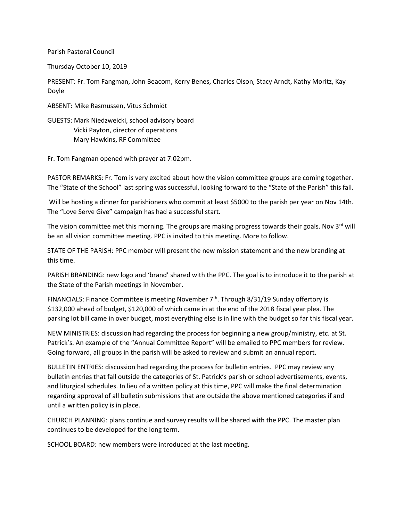Parish Pastoral Council

Thursday October 10, 2019

PRESENT: Fr. Tom Fangman, John Beacom, Kerry Benes, Charles Olson, Stacy Arndt, Kathy Moritz, Kay Doyle

ABSENT: Mike Rasmussen, Vitus Schmidt

GUESTS: Mark Niedzweicki, school advisory board Vicki Payton, director of operations Mary Hawkins, RF Committee

Fr. Tom Fangman opened with prayer at 7:02pm.

PASTOR REMARKS: Fr. Tom is very excited about how the vision committee groups are coming together. The "State of the School" last spring was successful, looking forward to the "State of the Parish" this fall.

Will be hosting a dinner for parishioners who commit at least \$5000 to the parish per year on Nov 14th. The "Love Serve Give" campaign has had a successful start.

The vision committee met this morning. The groups are making progress towards their goals. Nov 3<sup>rd</sup> will be an all vision committee meeting. PPC is invited to this meeting. More to follow.

STATE OF THE PARISH: PPC member will present the new mission statement and the new branding at this time.

PARISH BRANDING: new logo and 'brand' shared with the PPC. The goal is to introduce it to the parish at the State of the Parish meetings in November.

FINANCIALS: Finance Committee is meeting November 7<sup>th</sup>. Through 8/31/19 Sunday offertory is \$132,000 ahead of budget, \$120,000 of which came in at the end of the 2018 fiscal year plea. The parking lot bill came in over budget, most everything else is in line with the budget so far this fiscal year.

NEW MINISTRIES: discussion had regarding the process for beginning a new group/ministry, etc. at St. Patrick's. An example of the "Annual Committee Report" will be emailed to PPC members for review. Going forward, all groups in the parish will be asked to review and submit an annual report.

BULLETIN ENTRIES: discussion had regarding the process for bulletin entries. PPC may review any bulletin entries that fall outside the categories of St. Patrick's parish or school advertisements, events, and liturgical schedules. In lieu of a written policy at this time, PPC will make the final determination regarding approval of all bulletin submissions that are outside the above mentioned categories if and until a written policy is in place.

CHURCH PLANNING: plans continue and survey results will be shared with the PPC. The master plan continues to be developed for the long term.

SCHOOL BOARD: new members were introduced at the last meeting.